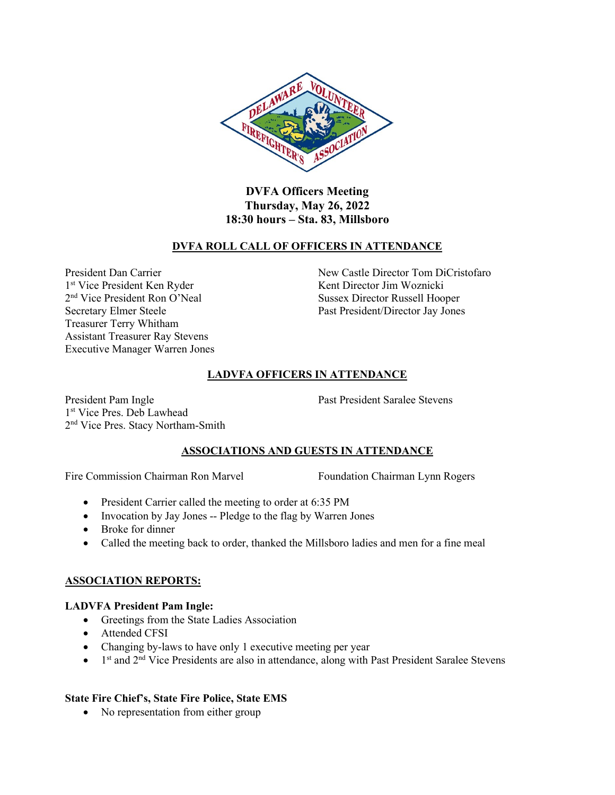

**DVFA Officers Meeting Thursday, May 26, 2022 18:30 hours – Sta. 83, Millsboro**

## **DVFA ROLL CALL OF OFFICERS IN ATTENDANCE**

1<sup>st</sup> Vice President Ken Ryder 2<sup>nd</sup> Vice President Ron O'Neal Secretary Elmer Steele Past President/Director Jay Jones Treasurer Terry Whitham Assistant Treasurer Ray Stevens Executive Manager Warren Jones

President Dan Carrier New Castle Director Tom DiCristofaro Kent Director Jim Woznicki Sussex Director Russell Hooper

## **LADVFA OFFICERS IN ATTENDANCE**

President Pam Ingle Past President Saralee Stevens 1 st Vice Pres. Deb Lawhead 2<sup>nd</sup> Vice Pres. Stacy Northam-Smith

### **ASSOCIATIONS AND GUESTS IN ATTENDANCE**

Fire Commission Chairman Ron Marvel Foundation Chairman Lynn Rogers

- President Carrier called the meeting to order at 6:35 PM
- Invocation by Jay Jones -- Pledge to the flag by Warren Jones
- Broke for dinner
- Called the meeting back to order, thanked the Millsboro ladies and men for a fine meal

### **ASSOCIATION REPORTS:**

### **LADVFA President Pam Ingle:**

- Greetings from the State Ladies Association
- Attended CFSI
- Changing by-laws to have only 1 executive meeting per year
- $\bullet$  1<sup>st</sup> and 2<sup>nd</sup> Vice Presidents are also in attendance, along with Past President Saralee Stevens

# **State Fire Chief's, State Fire Police, State EMS**

• No representation from either group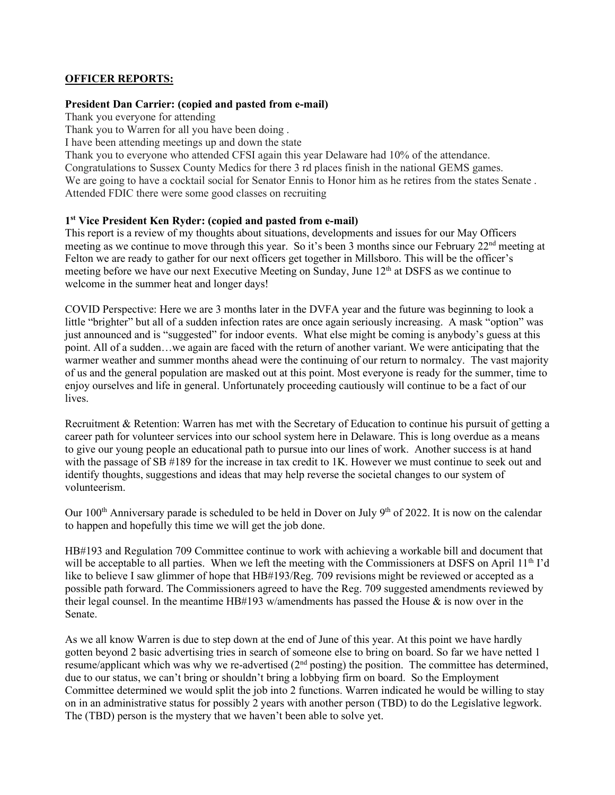## **OFFICER REPORTS:**

#### **President Dan Carrier: (copied and pasted from e-mail)**

Thank you everyone for attending

Thank you to Warren for all you have been doing .

I have been attending meetings up and down the state

Thank you to everyone who attended CFSI again this year Delaware had 10% of the attendance. Congratulations to Sussex County Medics for there 3 rd places finish in the national GEMS games. We are going to have a cocktail social for Senator Ennis to Honor him as he retires from the states Senate. Attended FDIC there were some good classes on recruiting

## **1 st Vice President Ken Ryder: (copied and pasted from e-mail)**

This report is a review of my thoughts about situations, developments and issues for our May Officers meeting as we continue to move through this year. So it's been 3 months since our February  $22<sup>nd</sup>$  meeting at Felton we are ready to gather for our next officers get together in Millsboro. This will be the officer's meeting before we have our next Executive Meeting on Sunday, June 12<sup>th</sup> at DSFS as we continue to welcome in the summer heat and longer days!

COVID Perspective: Here we are 3 months later in the DVFA year and the future was beginning to look a little "brighter" but all of a sudden infection rates are once again seriously increasing. A mask "option" was just announced and is "suggested" for indoor events. What else might be coming is anybody's guess at this point. All of a sudden…we again are faced with the return of another variant. We were anticipating that the warmer weather and summer months ahead were the continuing of our return to normalcy. The vast majority of us and the general population are masked out at this point. Most everyone is ready for the summer, time to enjoy ourselves and life in general. Unfortunately proceeding cautiously will continue to be a fact of our lives.

Recruitment & Retention: Warren has met with the Secretary of Education to continue his pursuit of getting a career path for volunteer services into our school system here in Delaware. This is long overdue as a means to give our young people an educational path to pursue into our lines of work. Another success is at hand with the passage of SB #189 for the increase in tax credit to 1K. However we must continue to seek out and identify thoughts, suggestions and ideas that may help reverse the societal changes to our system of volunteerism.

Our 100<sup>th</sup> Anniversary parade is scheduled to be held in Dover on July 9<sup>th</sup> of 2022. It is now on the calendar to happen and hopefully this time we will get the job done.

HB#193 and Regulation 709 Committee continue to work with achieving a workable bill and document that will be acceptable to all parties. When we left the meeting with the Commissioners at DSFS on April 11<sup>th</sup> I'd like to believe I saw glimmer of hope that HB#193/Reg. 709 revisions might be reviewed or accepted as a possible path forward. The Commissioners agreed to have the Reg. 709 suggested amendments reviewed by their legal counsel. In the meantime HB#193 w/amendments has passed the House  $\&$  is now over in the Senate.

As we all know Warren is due to step down at the end of June of this year. At this point we have hardly gotten beyond 2 basic advertising tries in search of someone else to bring on board. So far we have netted 1 resume/applicant which was why we re-advertised  $(2<sup>nd</sup>$  posting) the position. The committee has determined, due to our status, we can't bring or shouldn't bring a lobbying firm on board. So the Employment Committee determined we would split the job into 2 functions. Warren indicated he would be willing to stay on in an administrative status for possibly 2 years with another person (TBD) to do the Legislative legwork. The (TBD) person is the mystery that we haven't been able to solve yet.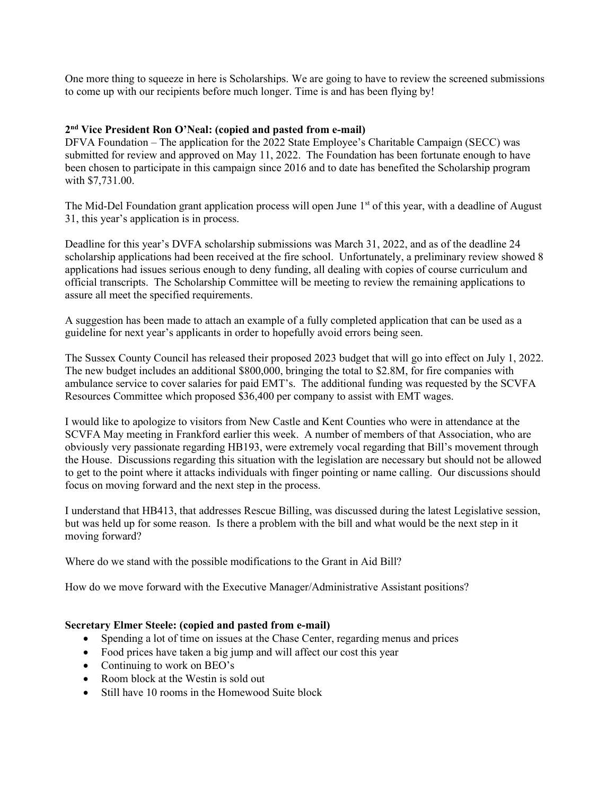One more thing to squeeze in here is Scholarships. We are going to have to review the screened submissions to come up with our recipients before much longer. Time is and has been flying by!

## **2 nd Vice President Ron O'Neal: (copied and pasted from e-mail)**

DFVA Foundation – The application for the 2022 State Employee's Charitable Campaign (SECC) was submitted for review and approved on May 11, 2022. The Foundation has been fortunate enough to have been chosen to participate in this campaign since 2016 and to date has benefited the Scholarship program with \$7,731.00.

The Mid-Del Foundation grant application process will open June 1<sup>st</sup> of this year, with a deadline of August 31, this year's application is in process.

Deadline for this year's DVFA scholarship submissions was March 31, 2022, and as of the deadline 24 scholarship applications had been received at the fire school. Unfortunately, a preliminary review showed 8 applications had issues serious enough to deny funding, all dealing with copies of course curriculum and official transcripts. The Scholarship Committee will be meeting to review the remaining applications to assure all meet the specified requirements.

A suggestion has been made to attach an example of a fully completed application that can be used as a guideline for next year's applicants in order to hopefully avoid errors being seen.

The Sussex County Council has released their proposed 2023 budget that will go into effect on July 1, 2022. The new budget includes an additional \$800,000, bringing the total to \$2.8M, for fire companies with ambulance service to cover salaries for paid EMT's. The additional funding was requested by the SCVFA Resources Committee which proposed \$36,400 per company to assist with EMT wages.

I would like to apologize to visitors from New Castle and Kent Counties who were in attendance at the SCVFA May meeting in Frankford earlier this week. A number of members of that Association, who are obviously very passionate regarding HB193, were extremely vocal regarding that Bill's movement through the House. Discussions regarding this situation with the legislation are necessary but should not be allowed to get to the point where it attacks individuals with finger pointing or name calling. Our discussions should focus on moving forward and the next step in the process.

I understand that HB413, that addresses Rescue Billing, was discussed during the latest Legislative session, but was held up for some reason. Is there a problem with the bill and what would be the next step in it moving forward?

Where do we stand with the possible modifications to the Grant in Aid Bill?

How do we move forward with the Executive Manager/Administrative Assistant positions?

#### **Secretary Elmer Steele: (copied and pasted from e-mail)**

- Spending a lot of time on issues at the Chase Center, regarding menus and prices
- Food prices have taken a big jump and will affect our cost this year
- Continuing to work on BEO's
- Room block at the Westin is sold out
- Still have 10 rooms in the Homewood Suite block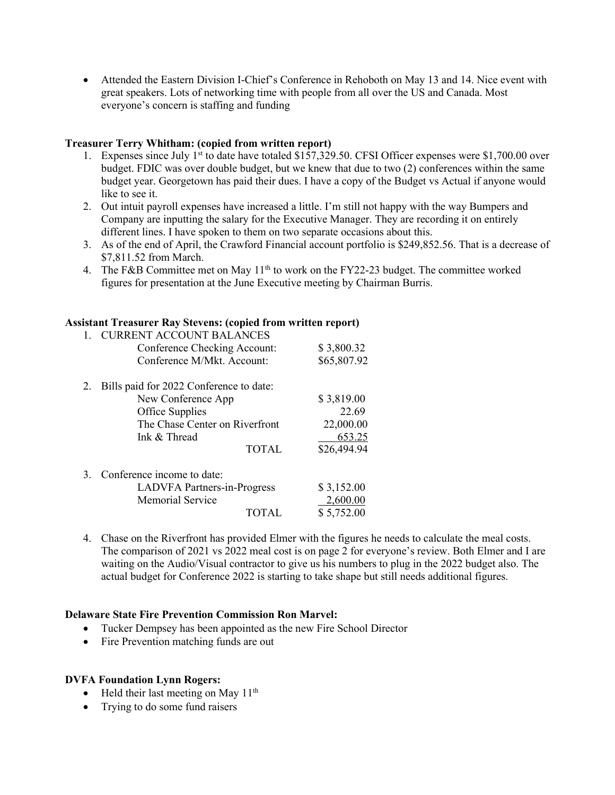• Attended the Eastern Division I-Chief's Conference in Rehoboth on May 13 and 14. Nice event with great speakers. Lots of networking time with people from all over the US and Canada. Most everyone's concern is staffing and funding

## **Treasurer Terry Whitham: (copied from written report)**

- 1. Expenses since July 1<sup>st</sup> to date have totaled \$157,329.50. CFSI Officer expenses were \$1,700.00 over budget. FDIC was over double budget, but we knew that due to two (2) conferences within the same budget year. Georgetown has paid their dues. I have a copy of the Budget vs Actual if anyone would like to see it.
- 2. Out intuit payroll expenses have increased a little. I'm still not happy with the way Bumpers and Company are inputting the salary for the Executive Manager. They are recording it on entirely different lines. I have spoken to them on two separate occasions about this.
- 3. As of the end of April, the Crawford Financial account portfolio is \$249,852.56. That is a decrease of \$7,811.52 from March.
- 4. The F&B Committee met on May 11<sup>th</sup> to work on the FY22-23 budget. The committee worked figures for presentation at the June Executive meeting by Chairman Burris.

### **Assistant Treasurer Ray Stevens: (copied from written report)**

| <b>CURRENT ACCOUNT BALANCES</b>         |                                                       |
|-----------------------------------------|-------------------------------------------------------|
| Conference Checking Account:            | \$3,800.32                                            |
| Conference M/Mkt. Account:              | \$65,807.92                                           |
| Bills paid for 2022 Conference to date: |                                                       |
| New Conference App                      | \$3,819.00                                            |
|                                         | 22.69                                                 |
| The Chase Center on Riverfront          | 22,000.00                                             |
| Ink & Thread                            | 653.25                                                |
| <b>TOTAL</b>                            | \$26,494.94                                           |
| Conference income to date:              |                                                       |
|                                         | \$3,152.00                                            |
| <b>Memorial Service</b>                 | 2,600.00                                              |
| TOTAL                                   | \$5,752.00                                            |
|                                         | Office Supplies<br><b>LADVFA Partners-in-Progress</b> |

4. Chase on the Riverfront has provided Elmer with the figures he needs to calculate the meal costs. The comparison of 2021 vs 2022 meal cost is on page 2 for everyone's review. Both Elmer and I are waiting on the Audio/Visual contractor to give us his numbers to plug in the 2022 budget also. The actual budget for Conference 2022 is starting to take shape but still needs additional figures.

#### **Delaware State Fire Prevention Commission Ron Marvel:**

- Tucker Dempsey has been appointed as the new Fire School Director
- Fire Prevention matching funds are out

#### **DVFA Foundation Lynn Rogers:**

- Held their last meeting on May  $11<sup>th</sup>$
- Trying to do some fund raisers